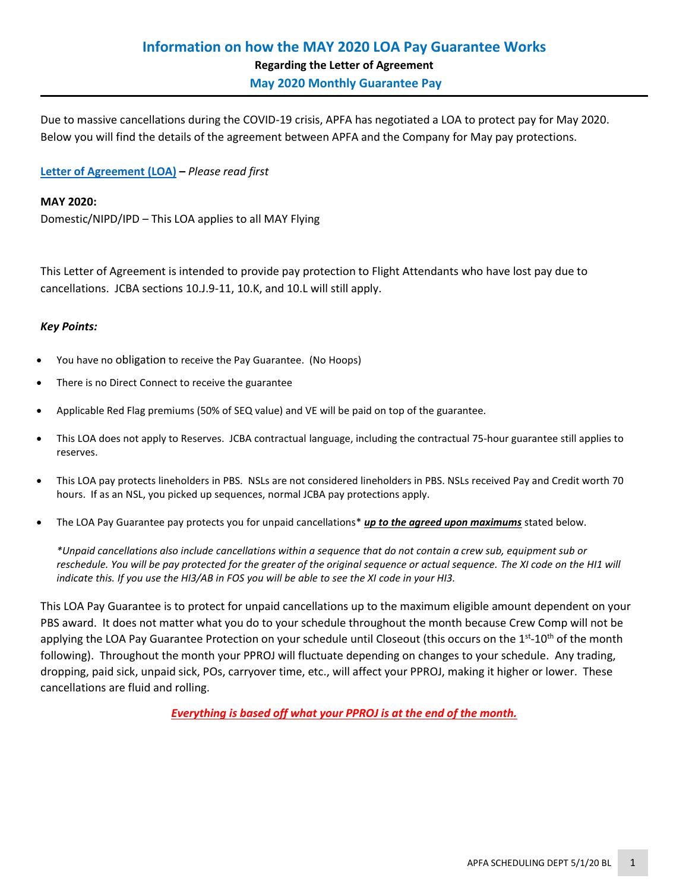Due to massive cancellations during the COVID-19 crisis, APFA has negotiated a LOA to protect pay for May 2020. Below you will find the details of the agreement between APFA and the Company for May pay protections.

# **[Letter of Agreement \(LOA\)](https://www.apfa.org/wp-content/uploads/2020/04/May-2020-Pay-Protection_042720.pdf) –** *Please read first*

## **MAY 2020:**

Domestic/NIPD/IPD – This LOA applies to all MAY Flying

This Letter of Agreement is intended to provide pay protection to Flight Attendants who have lost pay due to cancellations. JCBA sections 10.J.9-11, 10.K, and 10.L will still apply.

## *Key Points:*

- You have no obligation to receive the Pay Guarantee. (No Hoops)
- There is no Direct Connect to receive the guarantee
- Applicable Red Flag premiums (50% of SEQ value) and VE will be paid on top of the guarantee.
- This LOA does not apply to Reserves. JCBA contractual language, including the contractual 75-hour guarantee still applies to reserves.
- This LOA pay protects lineholders in PBS. NSLs are not considered lineholders in PBS. NSLs received Pay and Credit worth 70 hours. If as an NSL, you picked up sequences, normal JCBA pay protections apply.
- The LOA Pay Guarantee pay protects you for unpaid cancellations\* *up to the agreed upon maximums* stated below.

*\*Unpaid cancellations also include cancellations within a sequence that do not contain a crew sub, equipment sub or reschedule. You will be pay protected for the greater of the original sequence or actual sequence. The XI code on the HI1 will indicate this. If you use the HI3/AB in FOS you will be able to see the XI code in your HI3.*

This LOA Pay Guarantee is to protect for unpaid cancellations up to the maximum eligible amount dependent on your PBS award. It does not matter what you do to your schedule throughout the month because Crew Comp will not be applying the LOA Pay Guarantee Protection on your schedule until Closeout (this occurs on the 1<sup>st</sup>-10<sup>th</sup> of the month following). Throughout the month your PPROJ will fluctuate depending on changes to your schedule. Any trading, dropping, paid sick, unpaid sick, POs, carryover time, etc., will affect your PPROJ, making it higher or lower. These cancellations are fluid and rolling.

*Everything is based off what your PPROJ is at the end of the month.*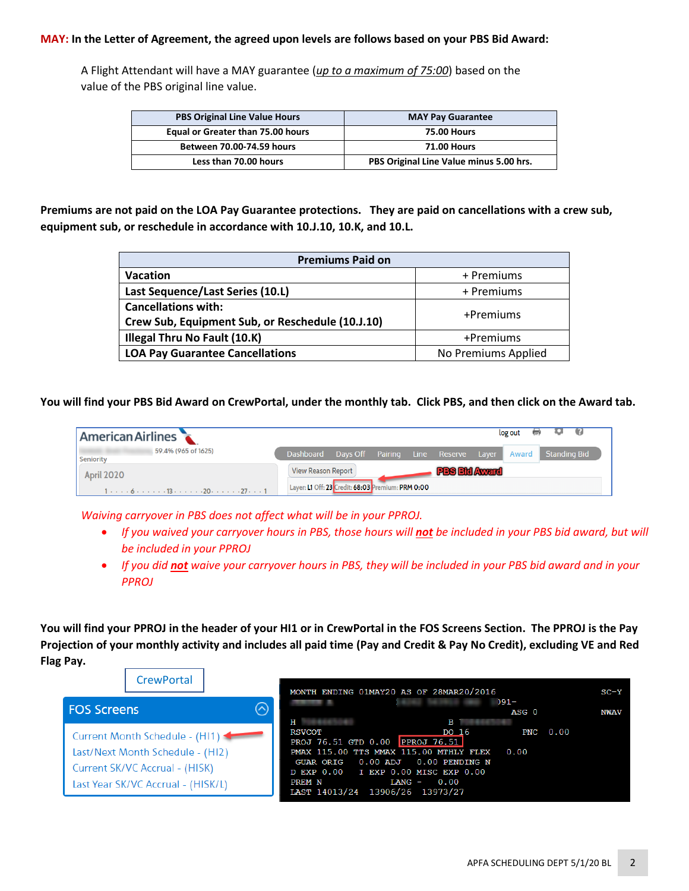## **MAY: In the Letter of Agreement, the agreed upon levels are follows based on your PBS Bid Award:**

A Flight Attendant will have a MAY guarantee (*up to a maximum of 75:00*) based on the value of the PBS original line value.

| <b>PBS Original Line Value Hours</b><br>Equal or Greater than 75.00 hours<br>Between 70.00-74.59 hours |                       | <b>MAY Pay Guarantee</b>                |  |
|--------------------------------------------------------------------------------------------------------|-----------------------|-----------------------------------------|--|
|                                                                                                        |                       | <b>75.00 Hours</b>                      |  |
|                                                                                                        |                       | <b>71.00 Hours</b>                      |  |
|                                                                                                        | Less than 70.00 hours | PBS Original Line Value minus 5.00 hrs. |  |

**Premiums are not paid on the LOA Pay Guarantee protections. They are paid on cancellations with a crew sub, equipment sub, or reschedule in accordance with 10.J.10, 10.K, and 10.L.**

| <b>Premiums Paid on</b>                          |                     |  |  |
|--------------------------------------------------|---------------------|--|--|
| <b>Vacation</b>                                  | + Premiums          |  |  |
| Last Sequence/Last Series (10.L)                 | + Premiums          |  |  |
| <b>Cancellations with:</b>                       | +Premiums           |  |  |
| Crew Sub, Equipment Sub, or Reschedule (10.J.10) |                     |  |  |
| Illegal Thru No Fault (10.K)                     | +Premiums           |  |  |
| <b>LOA Pay Guarantee Cancellations</b>           | No Premiums Applied |  |  |

**You will find your PBS Bid Award on CrewPortal, under the monthly tab. Click PBS, and then click on the Award tab.**

| <b>American Airlines</b> |                                                                                                                                                |                                                               |                                     |                  |                      | log out<br>$\equiv$ | - 69                |
|--------------------------|------------------------------------------------------------------------------------------------------------------------------------------------|---------------------------------------------------------------|-------------------------------------|------------------|----------------------|---------------------|---------------------|
| Seniority                | 59.4% (965 of 1625)                                                                                                                            | Dashboard                                                     | Days Off Pairing Line Reserve Layer |                  |                      | Award               | <b>Standing Bid</b> |
| <b>April 2020</b>        | $1 \cdot \cdot \cdot \cdot 6 \cdot \cdot \cdot \cdot \cdot 13 \cdot \cdot \cdot \cdot \cdot 20 \cdot \cdot \cdot \cdot 27 \cdot \cdot \cdot 1$ | View Reason Report<br>Layer: L1 Off: 23 Credit: 68:03 Premium |                                     | <b>EPRM 0:00</b> | <b>PBS Bid Award</b> |                     |                     |

*Waiving carryover in PBS does not affect what will be in your PPROJ.* 

- If you waived your carryover hours in PBS, those hours will not be included in your PBS bid award, but will *be included in your PPROJ*
- *If you did not waive your carryover hours in PBS, they will be included in your PBS bid award and in your PPROJ*

**You will find your PPROJ in the header of your HI1 or in CrewPortal in the FOS Screens Section. The PPROJ is the Pay Projection of your monthly activity and includes all paid time (Pay and Credit & Pay No Credit), excluding VE and Red Flag Pay.**

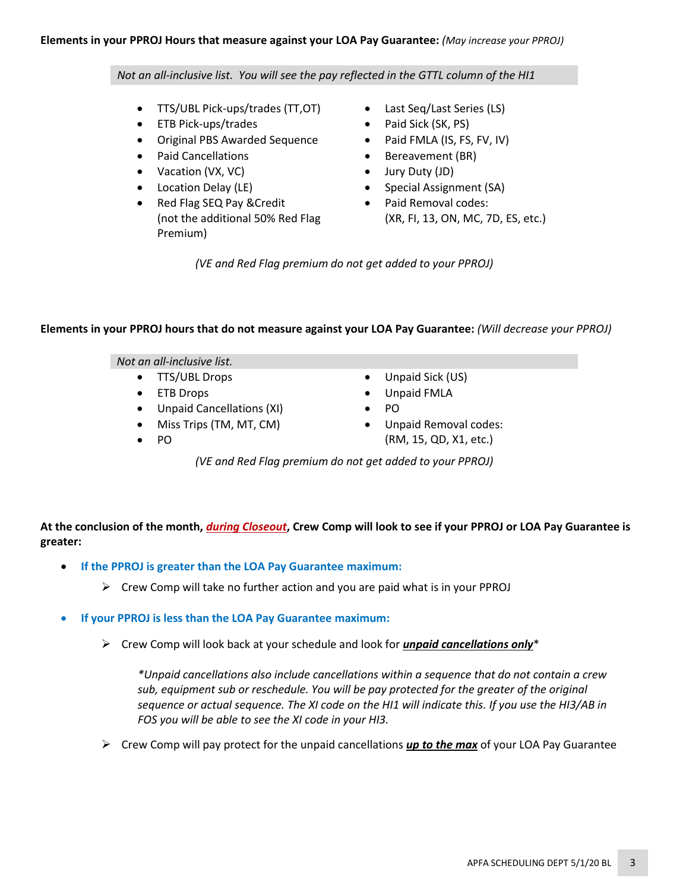## *Not an all-inclusive list. You will see the pay reflected in the GTTL column of the HI1*

- TTS/UBL Pick-ups/trades (TT,OT)
- ETB Pick-ups/trades
- Original PBS Awarded Sequence
- Paid Cancellations
- Vacation (VX, VC)
- Location Delay (LE)
- Red Flag SEQ Pay &Credit (not the additional 50% Red Flag Premium)
- Last Seq/Last Series (LS)
- Paid Sick (SK, PS)
- Paid FMLA (IS, FS, FV, IV)
- Bereavement (BR)
- Jury Duty (JD)
- Special Assignment (SA)
- Paid Removal codes: (XR, FI, 13, ON, MC, 7D, ES, etc.)

*(VE and Red Flag premium do not get added to your PPROJ)*

## **Elements in your PPROJ hours that do not measure against your LOA Pay Guarantee:** *(Will decrease your PPROJ)*

#### *Not an all-inclusive list.*

- TTS/UBL Drops
- ETB Drops
- Unpaid Cancellations (XI)
- Miss Trips (TM, MT, CM)
- PO
- Unpaid Sick (US)
- Unpaid FMLA
- PO
- Unpaid Removal codes: (RM, 15, QD, X1, etc.)

*(VE and Red Flag premium do not get added to your PPROJ)*

**At the conclusion of the month,** *during Closeout***, Crew Comp will look to see if your PPROJ or LOA Pay Guarantee is greater:**

- **If the PPROJ is greater than the LOA Pay Guarantee maximum:**
	- $\triangleright$  Crew Comp will take no further action and you are paid what is in your PPROJ
- **If your PPROJ is less than the LOA Pay Guarantee maximum:**
	- ➢ Crew Comp will look back at your schedule and look for *unpaid cancellations only*\*

*\*Unpaid cancellations also include cancellations within a sequence that do not contain a crew sub, equipment sub or reschedule. You will be pay protected for the greater of the original sequence or actual sequence. The XI code on the HI1 will indicate this. If you use the HI3/AB in FOS you will be able to see the XI code in your HI3.*

➢ Crew Comp will pay protect for the unpaid cancellations *up to the max* of your LOA Pay Guarantee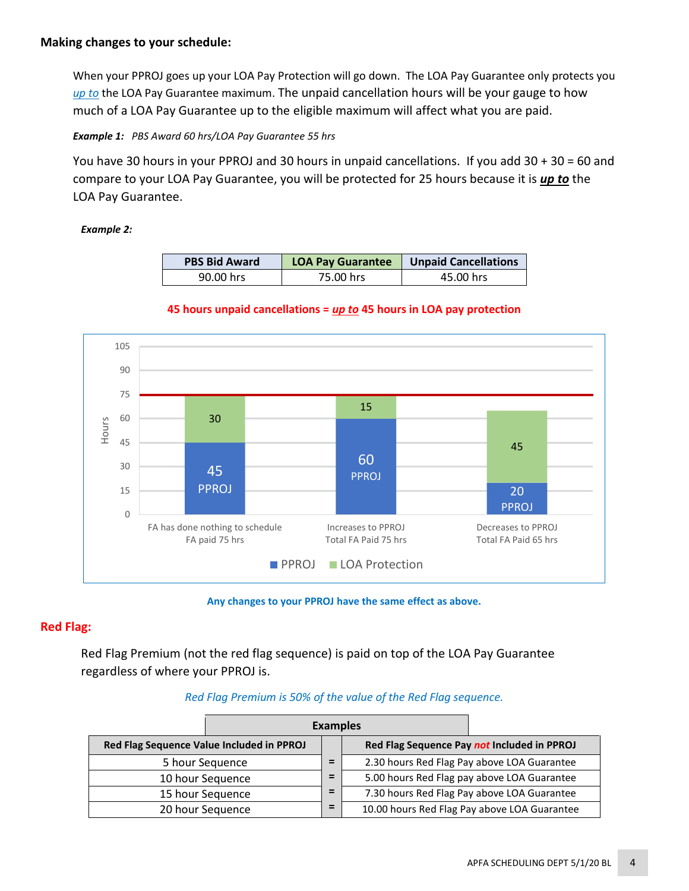When your PPROJ goes up your LOA Pay Protection will go down. The LOA Pay Guarantee only protects you *up to* the LOA Pay Guarantee maximum. The unpaid cancellation hours will be your gauge to how much of a LOA Pay Guarantee up to the eligible maximum will affect what you are paid.

*Example 1: PBS Award 60 hrs/LOA Pay Guarantee 55 hrs*

You have 30 hours in your PPROJ and 30 hours in unpaid cancellations. If you add 30 + 30 = 60 and compare to your LOA Pay Guarantee, you will be protected for 25 hours because it is *up to* the LOA Pay Guarantee.

# *Example 2:*

| <b>PBS Bid Award</b> | <b>LOA Pay Guarantee</b> | <b>Unpaid Cancellations</b> |  |
|----------------------|--------------------------|-----------------------------|--|
| 90.00 hrs            | 75.00 hrs                | 45.00 hrs                   |  |

# **45 hours unpaid cancellations =** *up to* **45 hours in LOA pay protection**



### **Any changes to your PPROJ have the same effect as above.**

# **Red Flag:**

Red Flag Premium (not the red flag sequence) is paid on top of the LOA Pay Guarantee regardless of where your PPROJ is.

# *Red Flag Premium is 50% of the value of the Red Flag sequence.*

|                                           | <b>Examples</b>  |   |  |                                              |
|-------------------------------------------|------------------|---|--|----------------------------------------------|
| Red Flag Sequence Value Included in PPROJ |                  |   |  | Red Flag Sequence Pay not Included in PPROJ  |
|                                           | 5 hour Sequence  | = |  | 2.30 hours Red Flag Pay above LOA Guarantee  |
|                                           | 10 hour Sequence | = |  | 5.00 hours Red Flag pay above LOA Guarantee  |
| 15 hour Sequence                          |                  | = |  | 7.30 hours Red Flag Pay above LOA Guarantee  |
|                                           | 20 hour Sequence | = |  | 10.00 hours Red Flag Pay above LOA Guarantee |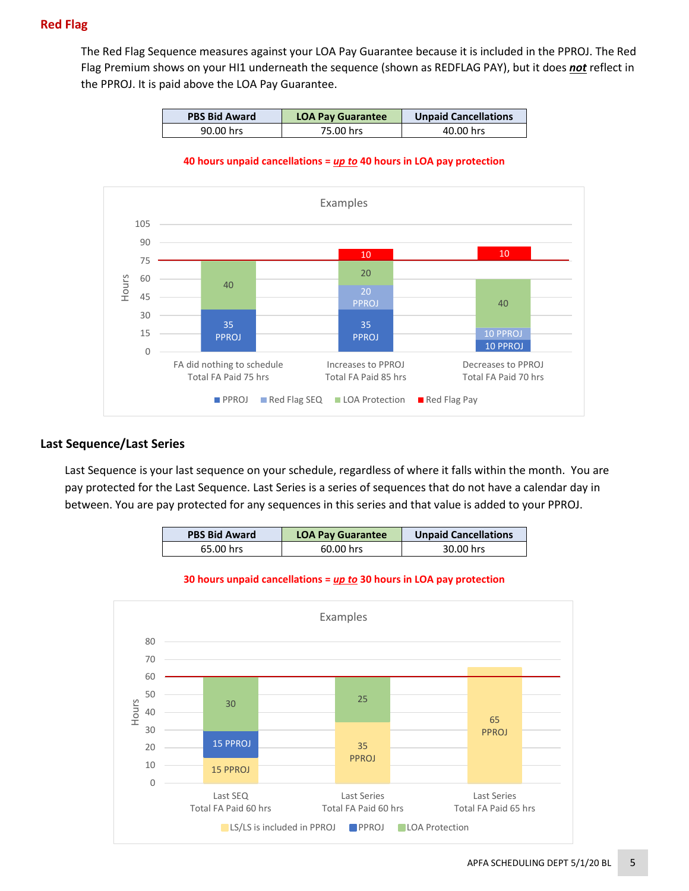# **Red Flag**

The Red Flag Sequence measures against your LOA Pay Guarantee because it is included in the PPROJ. The Red Flag Premium shows on your HI1 underneath the sequence (shown as REDFLAG PAY), but it does *not* reflect in the PPROJ. It is paid above the LOA Pay Guarantee.

| <b>PBS Bid Award</b><br><b>LOA Pay Guarantee</b> |           | <b>Unpaid Cancellations</b> |
|--------------------------------------------------|-----------|-----------------------------|
| 90.00 hrs                                        | 75.00 hrs | 40.00 hrs                   |

#### **40 hours unpaid cancellations =** *up to* **40 hours in LOA pay protection**



## **Last Sequence/Last Series**

Last Sequence is your last sequence on your schedule, regardless of where it falls within the month. You are pay protected for the Last Sequence. Last Series is a series of sequences that do not have a calendar day in between. You are pay protected for any sequences in this series and that value is added to your PPROJ.

| <b>PBS Bid Award</b> | <b>LOA Pay Guarantee</b> | <b>Unpaid Cancellations</b> |
|----------------------|--------------------------|-----------------------------|
| 65.00 hrs            | 60.00 hrs                | 30.00 hrs                   |



#### **30 hours unpaid cancellations =** *up to* **30 hours in LOA pay protection**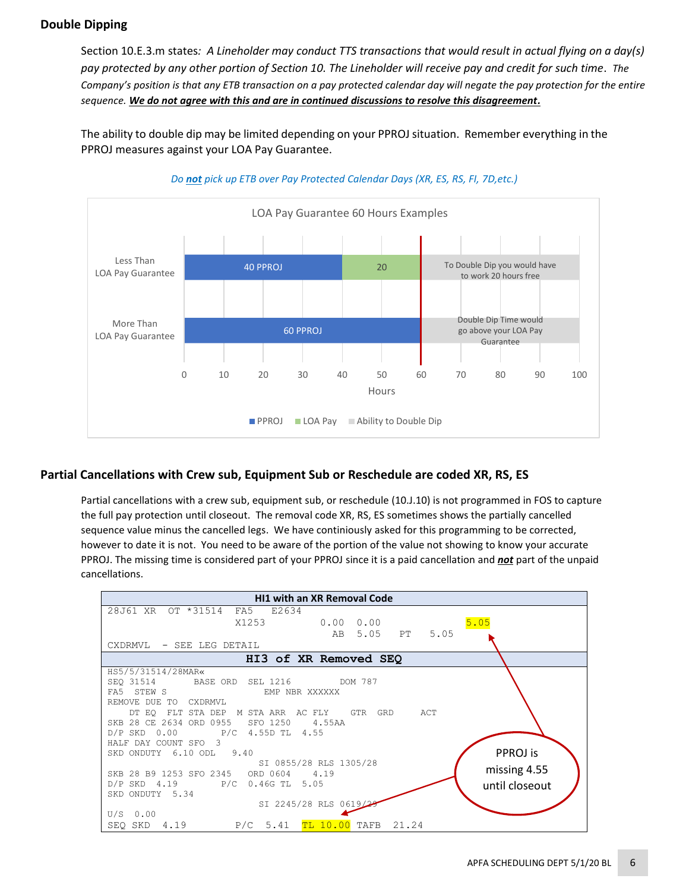# **Double Dipping**

Section 10.E.3.m states*: A Lineholder may conduct TTS transactions that would result in actual flying on a day(s) pay protected by any other portion of Section 10. The Lineholder will receive pay and credit for such time*. *The Company's position is that any ETB transaction on a pay protected calendar day will negate the pay protection for the entire sequence. We do not agree with this and are in continued discussions to resolve this disagreement.*

The ability to double dip may be limited depending on your PPROJ situation. Remember everything in the PPROJ measures against your LOA Pay Guarantee.



## *Do not pick up ETB over Pay Protected Calendar Days (XR, ES, RS, FI, 7D,etc.)*

# **Partial Cancellations with Crew sub, Equipment Sub or Reschedule are coded XR, RS, ES**

Partial cancellations with a crew sub, equipment sub, or reschedule (10.J.10) is not programmed in FOS to capture the full pay protection until closeout. The removal code XR, RS, ES sometimes shows the partially cancelled sequence value minus the cancelled legs. We have continiously asked for this programming to be corrected, however to date it is not. You need to be aware of the portion of the value not showing to know your accurate PPROJ. The missing time is considered part of your PPROJ since it is a paid cancellation and *not* part of the unpaid cancellations.

| <b>HI1 with an XR Removal Code</b>                          |  |  |  |  |
|-------------------------------------------------------------|--|--|--|--|
| 28J61 XR OT *31514 FA5 E2634                                |  |  |  |  |
| 5.05<br>X1253<br>$0.00 \quad 0.00$                          |  |  |  |  |
| AB 5.05 PT 5.05                                             |  |  |  |  |
| CXDRMVL - SEE LEG DETAIL                                    |  |  |  |  |
| HI3 of XR Removed SEQ                                       |  |  |  |  |
| HS5/5/31514/28MAR«                                          |  |  |  |  |
| SEO 31514 BASE ORD SEL 1216 DOM 787                         |  |  |  |  |
| FA5<br>STEW S<br>FMP NBR XXXXXX                             |  |  |  |  |
| REMOVE DUE TO<br>CXDRMVI.                                   |  |  |  |  |
| DT EO FLT STA DEP M STA ARR AC FLY<br>GTR GRD<br>ACT        |  |  |  |  |
| SKB 28 CE 2634 ORD 0955 SFO 1250 4.55AA                     |  |  |  |  |
| D/P SKD 0.00 P/C 4.55D TL 4.55                              |  |  |  |  |
| HALF DAY COUNT SFO 3                                        |  |  |  |  |
| PPROJ is<br>SKD ONDUTY 6.10 ODL 9.40                        |  |  |  |  |
| SI 0855/28 RLS 1305/28<br>missing 4.55                      |  |  |  |  |
| SKB 28 B9 1253 SFO 2345 ORD 0604 4.19                       |  |  |  |  |
| D/P SKD 4.19 P/C 0.46G TL 5.05<br>until closeout            |  |  |  |  |
| SKD ONDUTY 5.34                                             |  |  |  |  |
| SI 2245/28 RLS 0619/2<br>$U/S$ 0.00                         |  |  |  |  |
| <b>TL 10.00 TAFB</b><br>$P/C$ 5.41<br>21.24<br>SEQ SKD 4.19 |  |  |  |  |